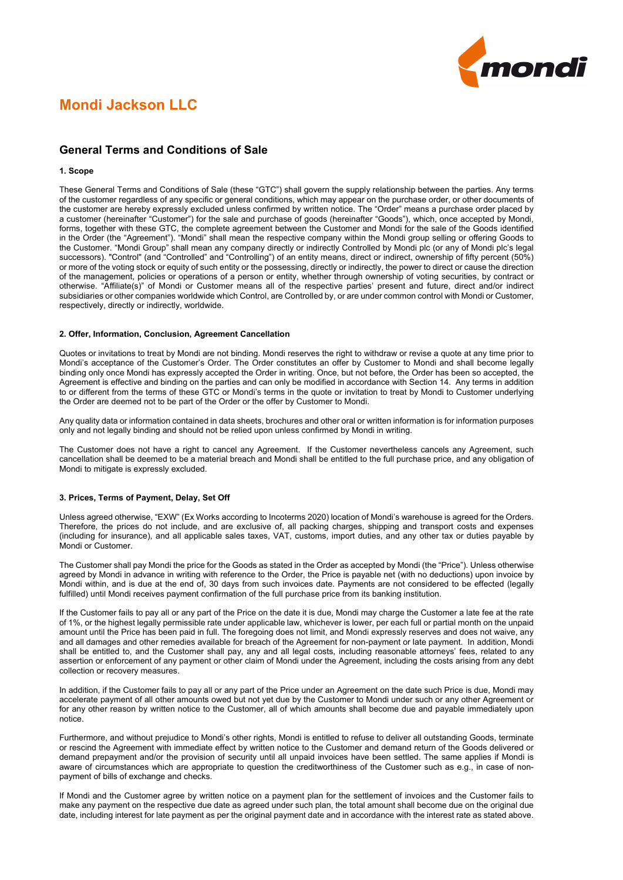

# **Mondi Jackson LLC**

# **General Terms and Conditions of Sale**

## **1. Scope**

These General Terms and Conditions of Sale (these "GTC") shall govern the supply relationship between the parties. Any terms of the customer regardless of any specific or general conditions, which may appear on the purchase order, or other documents of the customer are hereby expressly excluded unless confirmed by written notice. The "Order" means a purchase order placed by a customer (hereinafter "Customer") for the sale and purchase of goods (hereinafter "Goods"), which, once accepted by Mondi, forms, together with these GTC, the complete agreement between the Customer and Mondi for the sale of the Goods identified in the Order (the "Agreement"). "Mondi" shall mean the respective company within the Mondi group selling or offering Goods to the Customer. "Mondi Group" shall mean any company directly or indirectly Controlled by Mondi plc (or any of Mondi plc's legal successors). "Control" (and "Controlled" and "Controlling") of an entity means, direct or indirect, ownership of fifty percent (50%) or more of the voting stock or equity of such entity or the possessing, directly or indirectly, the power to direct or cause the direction of the management, policies or operations of a person or entity, whether through ownership of voting securities, by contract or otherwise. "Affiliate(s)" of Mondi or Customer means all of the respective parties' present and future, direct and/or indirect subsidiaries or other companies worldwide which Control, are Controlled by, or are under common control with Mondi or Customer, respectively, directly or indirectly, worldwide.

## **2. Offer, Information, Conclusion, Agreement Cancellation**

Quotes or invitations to treat by Mondi are not binding. Mondi reserves the right to withdraw or revise a quote at any time prior to Mondi's acceptance of the Customer's Order. The Order constitutes an offer by Customer to Mondi and shall become legally binding only once Mondi has expressly accepted the Order in writing. Once, but not before, the Order has been so accepted, the Agreement is effective and binding on the parties and can only be modified in accordance with Section 14. Any terms in addition to or different from the terms of these GTC or Mondi's terms in the quote or invitation to treat by Mondi to Customer underlying the Order are deemed not to be part of the Order or the offer by Customer to Mondi.

Any quality data or information contained in data sheets, brochures and other oral or written information is for information purposes only and not legally binding and should not be relied upon unless confirmed by Mondi in writing.

The Customer does not have a right to cancel any Agreement. If the Customer nevertheless cancels any Agreement, such cancellation shall be deemed to be a material breach and Mondi shall be entitled to the full purchase price, and any obligation of Mondi to mitigate is expressly excluded.

## **3. Prices, Terms of Payment, Delay, Set Off**

Unless agreed otherwise, "EXW" (Ex Works according to Incoterms 2020) location of Mondi's warehouse is agreed for the Orders. Therefore, the prices do not include, and are exclusive of, all packing charges, shipping and transport costs and expenses (including for insurance), and all applicable sales taxes, VAT, customs, import duties, and any other tax or duties payable by Mondi or Customer.

The Customer shall pay Mondi the price for the Goods as stated in the Order as accepted by Mondi (the "Price"). Unless otherwise agreed by Mondi in advance in writing with reference to the Order, the Price is payable net (with no deductions) upon invoice by Mondi within, and is due at the end of, 30 days from such invoices date. Payments are not considered to be effected (legally fulfilled) until Mondi receives payment confirmation of the full purchase price from its banking institution.

If the Customer fails to pay all or any part of the Price on the date it is due, Mondi may charge the Customer a late fee at the rate of 1%, or the highest legally permissible rate under applicable law, whichever is lower, per each full or partial month on the unpaid amount until the Price has been paid in full. The foregoing does not limit, and Mondi expressly reserves and does not waive, any and all damages and other remedies available for breach of the Agreement for non-payment or late payment. In addition, Mondi shall be entitled to, and the Customer shall pay, any and all legal costs, including reasonable attorneys' fees, related to any assertion or enforcement of any payment or other claim of Mondi under the Agreement, including the costs arising from any debt collection or recovery measures.

In addition, if the Customer fails to pay all or any part of the Price under an Agreement on the date such Price is due, Mondi may accelerate payment of all other amounts owed but not yet due by the Customer to Mondi under such or any other Agreement or for any other reason by written notice to the Customer, all of which amounts shall become due and payable immediately upon notice.

Furthermore, and without prejudice to Mondi's other rights, Mondi is entitled to refuse to deliver all outstanding Goods, terminate or rescind the Agreement with immediate effect by written notice to the Customer and demand return of the Goods delivered or demand prepayment and/or the provision of security until all unpaid invoices have been settled. The same applies if Mondi is aware of circumstances which are appropriate to question the creditworthiness of the Customer such as e.g., in case of nonpayment of bills of exchange and checks.

If Mondi and the Customer agree by written notice on a payment plan for the settlement of invoices and the Customer fails to make any payment on the respective due date as agreed under such plan, the total amount shall become due on the original due date, including interest for late payment as per the original payment date and in accordance with the interest rate as stated above.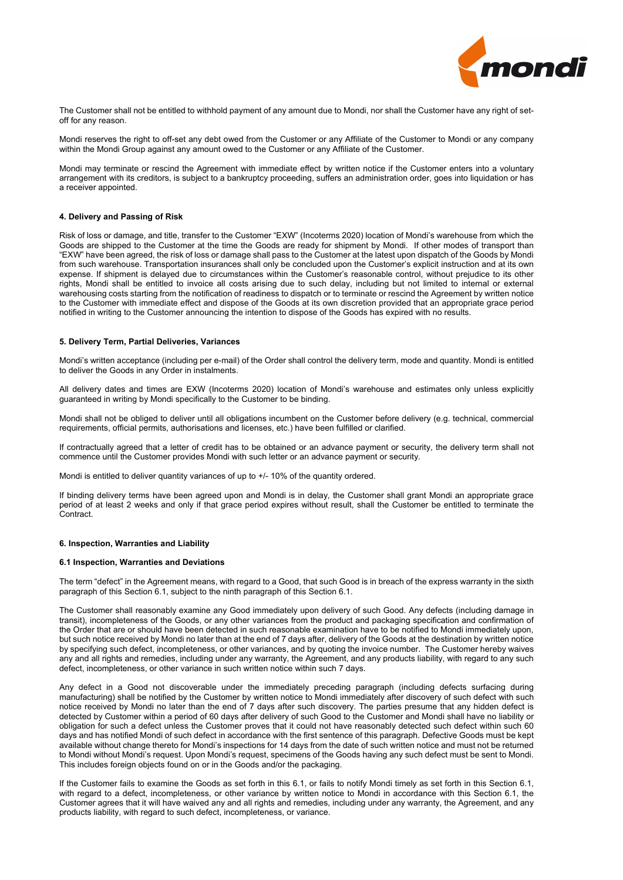

The Customer shall not be entitled to withhold payment of any amount due to Mondi, nor shall the Customer have any right of setoff for any reason.

Mondi reserves the right to off-set any debt owed from the Customer or any Affiliate of the Customer to Mondi or any company within the Mondi Group against any amount owed to the Customer or any Affiliate of the Customer.

Mondi may terminate or rescind the Agreement with immediate effect by written notice if the Customer enters into a voluntary arrangement with its creditors, is subject to a bankruptcy proceeding, suffers an administration order, goes into liquidation or has a receiver appointed.

#### **4. Delivery and Passing of Risk**

Risk of loss or damage, and title, transfer to the Customer "EXW" (Incoterms 2020) location of Mondi's warehouse from which the Goods are shipped to the Customer at the time the Goods are ready for shipment by Mondi. If other modes of transport than "EXW" have been agreed, the risk of loss or damage shall pass to the Customer at the latest upon dispatch of the Goods by Mondi from such warehouse. Transportation insurances shall only be concluded upon the Customer's explicit instruction and at its own expense. If shipment is delayed due to circumstances within the Customer's reasonable control, without prejudice to its other rights, Mondi shall be entitled to invoice all costs arising due to such delay, including but not limited to internal or external warehousing costs starting from the notification of readiness to dispatch or to terminate or rescind the Agreement by written notice to the Customer with immediate effect and dispose of the Goods at its own discretion provided that an appropriate grace period notified in writing to the Customer announcing the intention to dispose of the Goods has expired with no results.

## **5. Delivery Term, Partial Deliveries, Variances**

Mondi's written acceptance (including per e-mail) of the Order shall control the delivery term, mode and quantity. Mondi is entitled to deliver the Goods in any Order in instalments.

All delivery dates and times are EXW (Incoterms 2020) location of Mondi's warehouse and estimates only unless explicitly guaranteed in writing by Mondi specifically to the Customer to be binding.

Mondi shall not be obliged to deliver until all obligations incumbent on the Customer before delivery (e.g. technical, commercial requirements, official permits, authorisations and licenses, etc.) have been fulfilled or clarified.

If contractually agreed that a letter of credit has to be obtained or an advance payment or security, the delivery term shall not commence until the Customer provides Mondi with such letter or an advance payment or security.

Mondi is entitled to deliver quantity variances of up to  $+/$ -10% of the quantity ordered.

If binding delivery terms have been agreed upon and Mondi is in delay, the Customer shall grant Mondi an appropriate grace period of at least 2 weeks and only if that grace period expires without result, shall the Customer be entitled to terminate the **Contract.** 

# **6. Inspection, Warranties and Liability**

## **6.1 Inspection, Warranties and Deviations**

The term "defect" in the Agreement means, with regard to a Good, that such Good is in breach of the express warranty in the sixth paragraph of this Section 6.1, subject to the ninth paragraph of this Section 6.1.

The Customer shall reasonably examine any Good immediately upon delivery of such Good. Any defects (including damage in transit), incompleteness of the Goods, or any other variances from the product and packaging specification and confirmation of the Order that are or should have been detected in such reasonable examination have to be notified to Mondi immediately upon, but such notice received by Mondi no later than at the end of 7 days after, delivery of the Goods at the destination by written notice by specifying such defect, incompleteness, or other variances, and by quoting the invoice number. The Customer hereby waives any and all rights and remedies, including under any warranty, the Agreement, and any products liability, with regard to any such defect, incompleteness, or other variance in such written notice within such 7 days.

Any defect in a Good not discoverable under the immediately preceding paragraph (including defects surfacing during manufacturing) shall be notified by the Customer by written notice to Mondi immediately after discovery of such defect with such notice received by Mondi no later than the end of 7 days after such discovery. The parties presume that any hidden defect is detected by Customer within a period of 60 days after delivery of such Good to the Customer and Mondi shall have no liability or obligation for such a defect unless the Customer proves that it could not have reasonably detected such defect within such 60 days and has notified Mondi of such defect in accordance with the first sentence of this paragraph. Defective Goods must be kept available without change thereto for Mondi's inspections for 14 days from the date of such written notice and must not be returned to Mondi without Mondi's request. Upon Mondi's request, specimens of the Goods having any such defect must be sent to Mondi. This includes foreign objects found on or in the Goods and/or the packaging.

If the Customer fails to examine the Goods as set forth in this 6.1, or fails to notify Mondi timely as set forth in this Section 6.1, with regard to a defect, incompleteness, or other variance by written notice to Mondi in accordance with this Section 6.1, the Customer agrees that it will have waived any and all rights and remedies, including under any warranty, the Agreement, and any products liability, with regard to such defect, incompleteness, or variance.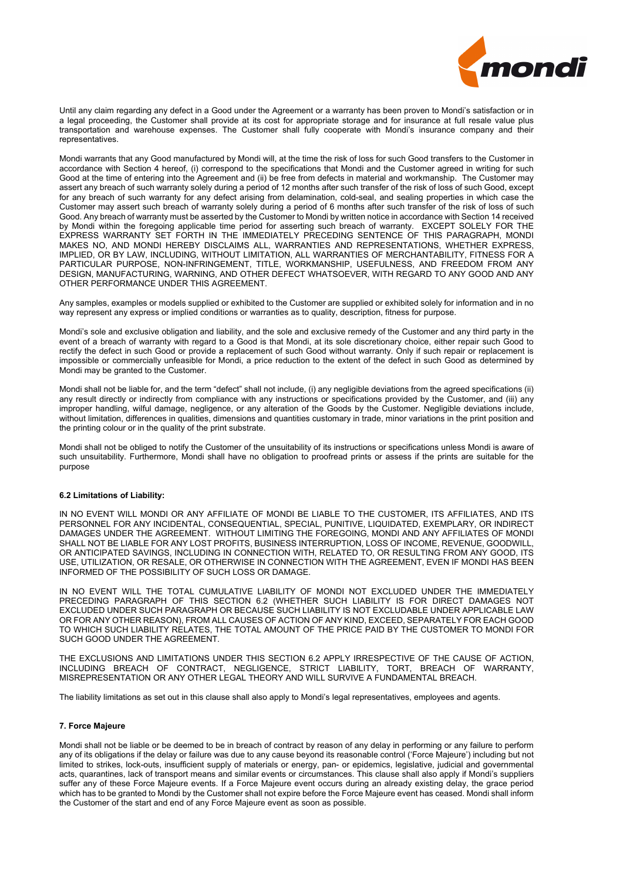

Until any claim regarding any defect in a Good under the Agreement or a warranty has been proven to Mondi's satisfaction or in a legal proceeding, the Customer shall provide at its cost for appropriate storage and for insurance at full resale value plus transportation and warehouse expenses. The Customer shall fully cooperate with Mondi's insurance company and their representatives.

Mondi warrants that any Good manufactured by Mondi will, at the time the risk of loss for such Good transfers to the Customer in accordance with Section 4 hereof, (i) correspond to the specifications that Mondi and the Customer agreed in writing for such Good at the time of entering into the Agreement and (ii) be free from defects in material and workmanship. The Customer may assert any breach of such warranty solely during a period of 12 months after such transfer of the risk of loss of such Good, except for any breach of such warranty for any defect arising from delamination, cold-seal, and sealing properties in which case the Customer may assert such breach of warranty solely during a period of 6 months after such transfer of the risk of loss of such Good. Any breach of warranty must be asserted by the Customer to Mondi by written notice in accordance with Section 14 received by Mondi within the foregoing applicable time period for asserting such breach of warranty. EXCEPT SOLELY FOR THE EXPRESS WARRANTY SET FORTH IN THE IMMEDIATELY PRECEDING SENTENCE OF THIS PARAGRAPH, MONDI MAKES NO, AND MONDI HEREBY DISCLAIMS ALL, WARRANTIES AND REPRESENTATIONS, WHETHER EXPRESS, IMPLIED, OR BY LAW, INCLUDING, WITHOUT LIMITATION, ALL WARRANTIES OF MERCHANTABILITY, FITNESS FOR A PARTICULAR PURPOSE, NON-INFRINGEMENT, TITLE, WORKMANSHIP, USEFULNESS, AND FREEDOM FROM ANY DESIGN, MANUFACTURING, WARNING, AND OTHER DEFECT WHATSOEVER, WITH REGARD TO ANY GOOD AND ANY OTHER PERFORMANCE UNDER THIS AGREEMENT.

Any samples, examples or models supplied or exhibited to the Customer are supplied or exhibited solely for information and in no way represent any express or implied conditions or warranties as to quality, description, fitness for purpose.

Mondi's sole and exclusive obligation and liability, and the sole and exclusive remedy of the Customer and any third party in the event of a breach of warranty with regard to a Good is that Mondi, at its sole discretionary choice, either repair such Good to rectify the defect in such Good or provide a replacement of such Good without warranty. Only if such repair or replacement is impossible or commercially unfeasible for Mondi, a price reduction to the extent of the defect in such Good as determined by Mondi may be granted to the Customer.

Mondi shall not be liable for, and the term "defect" shall not include, (i) any negligible deviations from the agreed specifications (ii) any result directly or indirectly from compliance with any instructions or specifications provided by the Customer, and (iii) any improper handling, wilful damage, negligence, or any alteration of the Goods by the Customer. Negligible deviations include, without limitation, differences in qualities, dimensions and quantities customary in trade, minor variations in the print position and the printing colour or in the quality of the print substrate.

Mondi shall not be obliged to notify the Customer of the unsuitability of its instructions or specifications unless Mondi is aware of such unsuitability. Furthermore, Mondi shall have no obligation to proofread prints or assess if the prints are suitable for the purpose

## **6.2 Limitations of Liability:**

IN NO EVENT WILL MONDI OR ANY AFFILIATE OF MONDI BE LIABLE TO THE CUSTOMER, ITS AFFILIATES, AND ITS PERSONNEL FOR ANY INCIDENTAL, CONSEQUENTIAL, SPECIAL, PUNITIVE, LIQUIDATED, EXEMPLARY, OR INDIRECT DAMAGES UNDER THE AGREEMENT. WITHOUT LIMITING THE FOREGOING, MONDI AND ANY AFFILIATES OF MONDI SHALL NOT BE LIABLE FOR ANY LOST PROFITS, BUSINESS INTERRUPTION, LOSS OF INCOME, REVENUE, GOODWILL, OR ANTICIPATED SAVINGS, INCLUDING IN CONNECTION WITH, RELATED TO, OR RESULTING FROM ANY GOOD, ITS USE, UTILIZATION, OR RESALE, OR OTHERWISE IN CONNECTION WITH THE AGREEMENT, EVEN IF MONDI HAS BEEN INFORMED OF THE POSSIBILITY OF SUCH LOSS OR DAMAGE.

IN NO EVENT WILL THE TOTAL CUMULATIVE LIABILITY OF MONDI NOT EXCLUDED UNDER THE IMMEDIATELY PRECEDING PARAGRAPH OF THIS SECTION 6.2 (WHETHER SUCH LIABILITY IS FOR DIRECT DAMAGES NOT EXCLUDED UNDER SUCH PARAGRAPH OR BECAUSE SUCH LIABILITY IS NOT EXCLUDABLE UNDER APPLICABLE LAW OR FOR ANY OTHER REASON), FROM ALL CAUSES OF ACTION OF ANY KIND, EXCEED, SEPARATELY FOR EACH GOOD TO WHICH SUCH LIABILITY RELATES, THE TOTAL AMOUNT OF THE PRICE PAID BY THE CUSTOMER TO MONDI FOR SUCH GOOD UNDER THE AGREEMENT.

THE EXCLUSIONS AND LIMITATIONS UNDER THIS SECTION 6.2 APPLY IRRESPECTIVE OF THE CAUSE OF ACTION, INCLUDING BREACH OF CONTRACT, NEGLIGENCE, STRICT LIABILITY, TORT, BREACH OF WARRANTY, MISREPRESENTATION OR ANY OTHER LEGAL THEORY AND WILL SURVIVE A FUNDAMENTAL BREACH.

The liability limitations as set out in this clause shall also apply to Mondi's legal representatives, employees and agents.

## **7. Force Majeure**

Mondi shall not be liable or be deemed to be in breach of contract by reason of any delay in performing or any failure to perform any of its obligations if the delay or failure was due to any cause beyond its reasonable control ('Force Majeure') including but not limited to strikes, lock-outs, insufficient supply of materials or energy, pan- or epidemics, legislative, judicial and governmental acts, quarantines, lack of transport means and similar events or circumstances. This clause shall also apply if Mondi's suppliers suffer any of these Force Majeure events. If a Force Majeure event occurs during an already existing delay, the grace period which has to be granted to Mondi by the Customer shall not expire before the Force Majeure event has ceased. Mondi shall inform the Customer of the start and end of any Force Majeure event as soon as possible.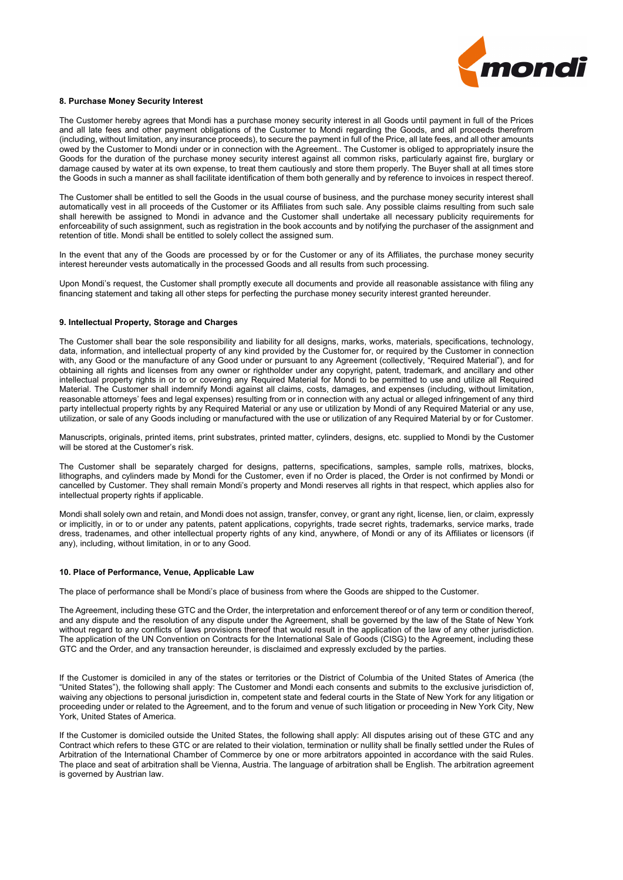

#### **8. Purchase Money Security Interest**

The Customer hereby agrees that Mondi has a purchase money security interest in all Goods until payment in full of the Prices and all late fees and other payment obligations of the Customer to Mondi regarding the Goods, and all proceeds therefrom (including, without limitation, any insurance proceeds), to secure the payment in full of the Price, all late fees, and all other amounts owed by the Customer to Mondi under or in connection with the Agreement.. The Customer is obliged to appropriately insure the Goods for the duration of the purchase money security interest against all common risks, particularly against fire, burglary or damage caused by water at its own expense, to treat them cautiously and store them properly. The Buyer shall at all times store the Goods in such a manner as shall facilitate identification of them both generally and by reference to invoices in respect thereof.

The Customer shall be entitled to sell the Goods in the usual course of business, and the purchase money security interest shall automatically vest in all proceeds of the Customer or its Affiliates from such sale. Any possible claims resulting from such sale shall herewith be assigned to Mondi in advance and the Customer shall undertake all necessary publicity requirements for enforceability of such assignment, such as registration in the book accounts and by notifying the purchaser of the assignment and retention of title. Mondi shall be entitled to solely collect the assigned sum.

In the event that any of the Goods are processed by or for the Customer or any of its Affiliates, the purchase money security interest hereunder vests automatically in the processed Goods and all results from such processing.

Upon Mondi's request, the Customer shall promptly execute all documents and provide all reasonable assistance with filing any financing statement and taking all other steps for perfecting the purchase money security interest granted hereunder.

#### **9. Intellectual Property, Storage and Charges**

The Customer shall bear the sole responsibility and liability for all designs, marks, works, materials, specifications, technology, data, information, and intellectual property of any kind provided by the Customer for, or required by the Customer in connection with, any Good or the manufacture of any Good under or pursuant to any Agreement (collectively, "Required Material"), and for obtaining all rights and licenses from any owner or rightholder under any copyright, patent, trademark, and ancillary and other intellectual property rights in or to or covering any Required Material for Mondi to be permitted to use and utilize all Required Material. The Customer shall indemnify Mondi against all claims, costs, damages, and expenses (including, without limitation, reasonable attorneys' fees and legal expenses) resulting from or in connection with any actual or alleged infringement of any third party intellectual property rights by any Required Material or any use or utilization by Mondi of any Required Material or any use, utilization, or sale of any Goods including or manufactured with the use or utilization of any Required Material by or for Customer.

Manuscripts, originals, printed items, print substrates, printed matter, cylinders, designs, etc. supplied to Mondi by the Customer will be stored at the Customer's risk.

The Customer shall be separately charged for designs, patterns, specifications, samples, sample rolls, matrixes, blocks, lithographs, and cylinders made by Mondi for the Customer, even if no Order is placed, the Order is not confirmed by Mondi or cancelled by Customer. They shall remain Mondi's property and Mondi reserves all rights in that respect, which applies also for intellectual property rights if applicable.

Mondi shall solely own and retain, and Mondi does not assign, transfer, convey, or grant any right, license, lien, or claim, expressly or implicitly, in or to or under any patents, patent applications, copyrights, trade secret rights, trademarks, service marks, trade dress, tradenames, and other intellectual property rights of any kind, anywhere, of Mondi or any of its Affiliates or licensors (if any), including, without limitation, in or to any Good.

#### **10. Place of Performance, Venue, Applicable Law**

The place of performance shall be Mondi's place of business from where the Goods are shipped to the Customer.

The Agreement, including these GTC and the Order, the interpretation and enforcement thereof or of any term or condition thereof, and any dispute and the resolution of any dispute under the Agreement, shall be governed by the law of the State of New York without regard to any conflicts of laws provisions thereof that would result in the application of the law of any other jurisdiction. The application of the UN Convention on Contracts for the International Sale of Goods (CISG) to the Agreement, including these GTC and the Order, and any transaction hereunder, is disclaimed and expressly excluded by the parties.

If the Customer is domiciled in any of the states or territories or the District of Columbia of the United States of America (the "United States"), the following shall apply: The Customer and Mondi each consents and submits to the exclusive jurisdiction of, waiving any objections to personal jurisdiction in, competent state and federal courts in the State of New York for any litigation or proceeding under or related to the Agreement, and to the forum and venue of such litigation or proceeding in New York City, New York, United States of America.

If the Customer is domiciled outside the United States, the following shall apply: All disputes arising out of these GTC and any Contract which refers to these GTC or are related to their violation, termination or nullity shall be finally settled under the Rules of Arbitration of the International Chamber of Commerce by one or more arbitrators appointed in accordance with the said Rules. The place and seat of arbitration shall be Vienna, Austria. The language of arbitration shall be English. The arbitration agreement is governed by Austrian law.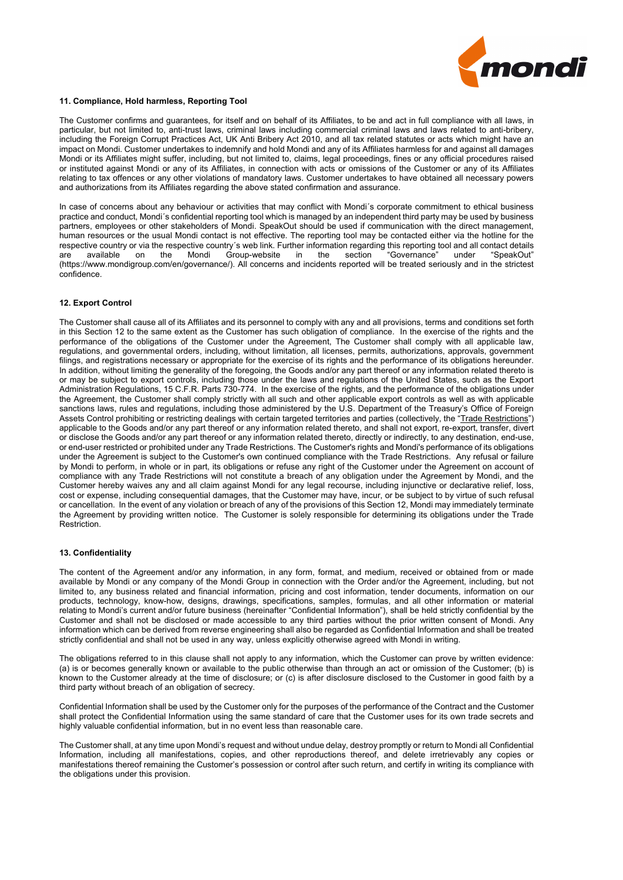

#### **11. Compliance, Hold harmless, Reporting Tool**

The Customer confirms and guarantees, for itself and on behalf of its Affiliates, to be and act in full compliance with all laws, in particular, but not limited to, anti-trust laws, criminal laws including commercial criminal laws and laws related to anti-bribery, including the Foreign Corrupt Practices Act, UK Anti Bribery Act 2010, and all tax related statutes or acts which might have an impact on Mondi. Customer undertakes to indemnify and hold Mondi and any of its Affiliates harmless for and against all damages Mondi or its Affiliates might suffer, including, but not limited to, claims, legal proceedings, fines or any official procedures raised or instituted against Mondi or any of its Affiliates, in connection with acts or omissions of the Customer or any of its Affiliates relating to tax offences or any other violations of mandatory laws. Customer undertakes to have obtained all necessary powers and authorizations from its Affiliates regarding the above stated confirmation and assurance.

In case of concerns about any behaviour or activities that may conflict with Mondi's corporate commitment to ethical business practice and conduct, Mondi´s confidential reporting tool which is managed by an independent third party may be used by business partners, employees or other stakeholders of Mondi. SpeakOut should be used if communication with the direct management, human resources or the usual Mondi contact is not effective. The reporting tool may be contacted either via the hotline for the respective country or via the respective country´s web link. Further information regarding this reporting tool and all contact details<br>are available on the Mondi Group-website in the section "Governance" under "SpeakOut" Group-website in [\(https://www.mondigroup.com/en/governance/\)](https://www.mondigroup.com/en/governance/speakout/). All concerns and incidents reported will be treated seriously and in the strictest confidence.

# **12. Export Control**

The Customer shall cause all of its Affiliates and its personnel to comply with any and all provisions, terms and conditions set forth in this Section 12 to the same extent as the Customer has such obligation of compliance. In the exercise of the rights and the performance of the obligations of the Customer under the Agreement, The Customer shall comply with all applicable law, regulations, and governmental orders, including, without limitation, all licenses, permits, authorizations, approvals, government filings, and registrations necessary or appropriate for the exercise of its rights and the performance of its obligations hereunder. In addition, without limiting the generality of the foregoing, the Goods and/or any part thereof or any information related thereto is or may be subject to export controls, including those under the laws and regulations of the United States, such as the Export Administration Regulations, 15 C.F.R. Parts 730-774. In the exercise of the rights, and the performance of the obligations under the Agreement, the Customer shall comply strictly with all such and other applicable export controls as well as with applicable sanctions laws, rules and regulations, including those administered by the U.S. Department of the Treasury's Office of Foreign Assets Control prohibiting or restricting dealings with certain targeted territories and parties (collectively, the "Trade Restrictions") applicable to the Goods and/or any part thereof or any information related thereto, and shall not export, re-export, transfer, divert or disclose the Goods and/or any part thereof or any information related thereto, directly or indirectly, to any destination, end-use, or end-user restricted or prohibited under any Trade Restrictions. The Customer's rights and Mondi's performance of its obligations under the Agreement is subject to the Customer's own continued compliance with the Trade Restrictions. Any refusal or failure by Mondi to perform, in whole or in part, its obligations or refuse any right of the Customer under the Agreement on account of compliance with any Trade Restrictions will not constitute a breach of any obligation under the Agreement by Mondi, and the Customer hereby waives any and all claim against Mondi for any legal recourse, including injunctive or declarative relief, loss, cost or expense, including consequential damages, that the Customer may have, incur, or be subject to by virtue of such refusal or cancellation. In the event of any violation or breach of any of the provisions of this Section 12, Mondi may immediately terminate the Agreement by providing written notice. The Customer is solely responsible for determining its obligations under the Trade Restriction.

#### **13. Confidentiality**

The content of the Agreement and/or any information, in any form, format, and medium, received or obtained from or made available by Mondi or any company of the Mondi Group in connection with the Order and/or the Agreement, including, but not limited to, any business related and financial information, pricing and cost information, tender documents, information on our products, technology, know-how, designs, drawings, specifications, samples, formulas, and all other information or material relating to Mondi's current and/or future business (hereinafter "Confidential Information"), shall be held strictly confidential by the Customer and shall not be disclosed or made accessible to any third parties without the prior written consent of Mondi. Any information which can be derived from reverse engineering shall also be regarded as Confidential Information and shall be treated strictly confidential and shall not be used in any way, unless explicitly otherwise agreed with Mondi in writing.

The obligations referred to in this clause shall not apply to any information, which the Customer can prove by written evidence: (a) is or becomes generally known or available to the public otherwise than through an act or omission of the Customer; (b) is known to the Customer already at the time of disclosure; or (c) is after disclosure disclosed to the Customer in good faith by a third party without breach of an obligation of secrecy.

Confidential Information shall be used by the Customer only for the purposes of the performance of the Contract and the Customer shall protect the Confidential Information using the same standard of care that the Customer uses for its own trade secrets and highly valuable confidential information, but in no event less than reasonable care.

The Customer shall, at any time upon Mondi's request and without undue delay, destroy promptly or return to Mondi all Confidential Information, including all manifestations, copies, and other reproductions thereof, and delete irretrievably any copies or manifestations thereof remaining the Customer's possession or control after such return, and certify in writing its compliance with the obligations under this provision.